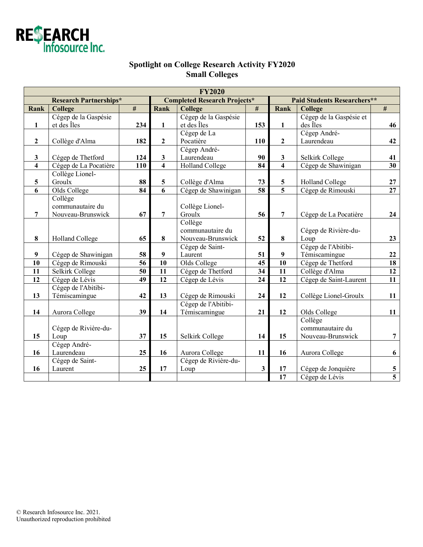

## **Spotlight on College Research Activity FY2020 Small Colleges**

| <b>FY2020</b>                 |                        |      |                                     |                        |                         |                                    |                         |                 |  |  |  |  |
|-------------------------------|------------------------|------|-------------------------------------|------------------------|-------------------------|------------------------------------|-------------------------|-----------------|--|--|--|--|
| <b>Research Partnerships*</b> |                        |      | <b>Completed Research Projects*</b> |                        |                         | <b>Paid Students Researchers**</b> |                         |                 |  |  |  |  |
| Rank                          | College                | $\#$ | Rank                                | <b>College</b>         | #                       | Rank                               | <b>College</b>          | $\#$            |  |  |  |  |
|                               | Cégep de la Gaspésie   |      |                                     | Cégep de la Gaspésie   |                         |                                    | Cégep de la Gaspésie et |                 |  |  |  |  |
| $\mathbf{1}$                  | et des Îles            | 234  | $\mathbf{1}$                        | et des Îles            | 153                     | $\mathbf{1}$                       | des Îles                | 46              |  |  |  |  |
|                               |                        |      |                                     | Cégep de La            |                         |                                    | Cégep André-            |                 |  |  |  |  |
| $\overline{2}$                | Collège d'Alma         | 182  | $\overline{2}$                      | Pocatière              | 110                     | $\overline{2}$                     | Laurendeau              | 42              |  |  |  |  |
|                               |                        |      |                                     | Cégep André-           |                         |                                    |                         |                 |  |  |  |  |
| $\mathbf{3}$                  | Cégep de Thetford      | 124  | 3                                   | Laurendeau             | 90                      | $\mathbf{3}$                       | Selkirk College         | 41              |  |  |  |  |
| $\overline{\mathbf{4}}$       | Cégep de La Pocatière  | 110  | $\overline{\mathbf{4}}$             | <b>Holland College</b> | 84                      | $\overline{\mathbf{4}}$            | Cégep de Shawinigan     | 30              |  |  |  |  |
|                               | Collège Lionel-        |      |                                     |                        |                         |                                    |                         |                 |  |  |  |  |
| $\overline{\mathbf{5}}$       | Groulx                 | 88   | $\overline{\mathbf{5}}$             | Collège d'Alma         | 73                      | $\overline{\mathbf{5}}$            | <b>Holland College</b>  | $\bf 27$        |  |  |  |  |
| 6                             | Olds College           | 84   | 6                                   | Cégep de Shawinigan    | $\overline{58}$         | $\overline{5}$                     | Cégep de Rimouski       | $\overline{27}$ |  |  |  |  |
|                               | Collège                |      |                                     |                        |                         |                                    |                         |                 |  |  |  |  |
|                               | communautaire du       |      |                                     | Collège Lionel-        |                         |                                    |                         |                 |  |  |  |  |
| 7                             | Nouveau-Brunswick      | 67   | 7                                   | Groulx                 | 56                      | 7                                  | Cégep de La Pocatière   | 24              |  |  |  |  |
|                               |                        |      |                                     | Collège                |                         |                                    |                         |                 |  |  |  |  |
|                               |                        |      |                                     | communautaire du       |                         |                                    | Cégep de Rivière-du-    |                 |  |  |  |  |
| $\bf{8}$                      | <b>Holland College</b> | 65   | 8                                   | Nouveau-Brunswick      | 52                      | 8                                  | Loup                    | 23              |  |  |  |  |
|                               |                        |      |                                     | Cégep de Saint-        |                         |                                    | Cégep de l'Abitibi-     |                 |  |  |  |  |
| $\boldsymbol{9}$              | Cégep de Shawinigan    | 58   | $\boldsymbol{9}$                    | Laurent                | 51                      | $\boldsymbol{9}$                   | Témiscamingue           | 22              |  |  |  |  |
| 10                            | Cégep de Rimouski      | 56   | $\overline{10}$                     | Olds College           | 45                      | $\overline{10}$                    | Cégep de Thetford       | 18              |  |  |  |  |
| 11                            | Selkirk College        | 50   | 11                                  | Cégep de Thetford      | 34                      | 11                                 | Collège d'Alma          | 12              |  |  |  |  |
| 12                            | Cégep de Lévis         | 49   | $\overline{12}$                     | Cégep de Lévis         | 24                      | 12                                 | Cégep de Saint-Laurent  | 11              |  |  |  |  |
|                               | Cégep de l'Abitibi-    |      |                                     |                        |                         |                                    |                         |                 |  |  |  |  |
| 13                            | Témiscamingue          | 42   | 13                                  | Cégep de Rimouski      | 24                      | 12                                 | Collège Lionel-Groulx   | 11              |  |  |  |  |
|                               |                        |      |                                     | Cégep de l'Abitibi-    |                         |                                    |                         |                 |  |  |  |  |
| 14                            | Aurora College         | 39   | 14                                  | Témiscamingue          | 21                      | 12                                 | Olds College            | 11              |  |  |  |  |
|                               |                        |      |                                     |                        |                         |                                    | Collège                 |                 |  |  |  |  |
|                               | Cégep de Rivière-du-   |      |                                     |                        |                         |                                    | communautaire du        |                 |  |  |  |  |
| 15                            | Loup                   | 37   | 15                                  | Selkirk College        | 14                      | 15                                 | Nouveau-Brunswick       | $\overline{7}$  |  |  |  |  |
|                               | Cégep André-           |      |                                     |                        |                         |                                    |                         |                 |  |  |  |  |
| 16                            | Laurendeau             | 25   | 16                                  | Aurora College         | 11                      | 16                                 | Aurora College          | 6               |  |  |  |  |
|                               | Cégep de Saint-        |      |                                     | Cégep de Rivière-du-   |                         |                                    |                         |                 |  |  |  |  |
| 16                            | Laurent                | 25   | 17                                  | Loup                   | $\overline{\mathbf{3}}$ | 17                                 | Cégep de Jonquière      | $\frac{5}{5}$   |  |  |  |  |
|                               |                        |      |                                     |                        |                         | $\overline{17}$                    | Cégep de Lévis          |                 |  |  |  |  |